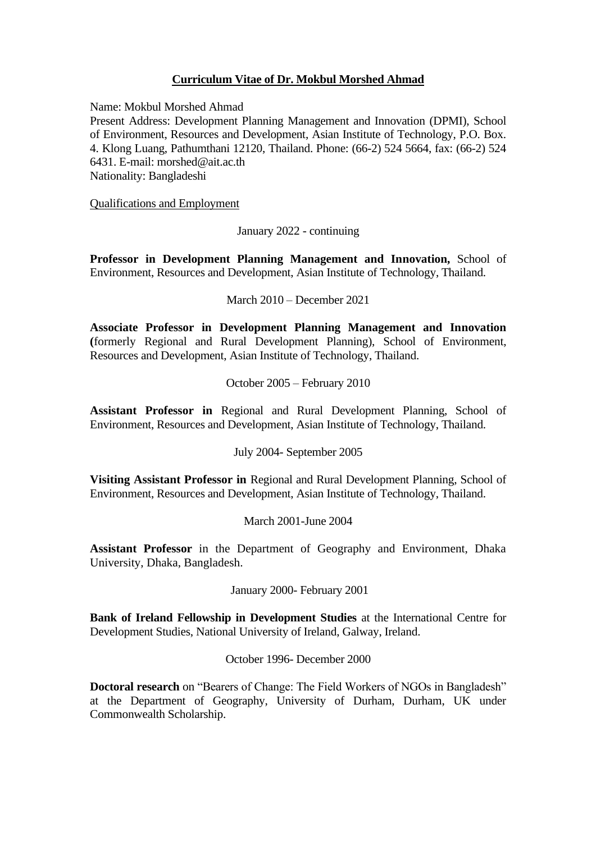# **Curriculum Vitae of Dr. Mokbul Morshed Ahmad**

Name: Mokbul Morshed Ahmad

Present Address: Development Planning Management and Innovation (DPMI), School of Environment, Resources and Development, Asian Institute of Technology, P.O. Box. 4. Klong Luang, Pathumthani 12120, Thailand. Phone: (66-2) 524 5664, fax: (66-2) 524 6431. E-mail: morshed@ait.ac.th Nationality: Bangladeshi

Qualifications and Employment

January 2022 - continuing

**Professor in Development Planning Management and Innovation,** School of Environment, Resources and Development, Asian Institute of Technology, Thailand.

March 2010 – December 2021

**Associate Professor in Development Planning Management and Innovation (**formerly Regional and Rural Development Planning), School of Environment, Resources and Development, Asian Institute of Technology, Thailand.

October 2005 – February 2010

**Assistant Professor in** Regional and Rural Development Planning, School of Environment, Resources and Development, Asian Institute of Technology, Thailand.

July 2004- September 2005

**Visiting Assistant Professor in** Regional and Rural Development Planning, School of Environment, Resources and Development, Asian Institute of Technology, Thailand.

March 2001-June 2004

**Assistant Professor** in the Department of Geography and Environment, Dhaka University, Dhaka, Bangladesh.

January 2000- February 2001

**Bank of Ireland Fellowship in Development Studies** at the International Centre for Development Studies, National University of Ireland, Galway, Ireland.

October 1996- December 2000

**Doctoral research** on "Bearers of Change: The Field Workers of NGOs in Bangladesh" at the Department of Geography, University of Durham, Durham, UK under Commonwealth Scholarship.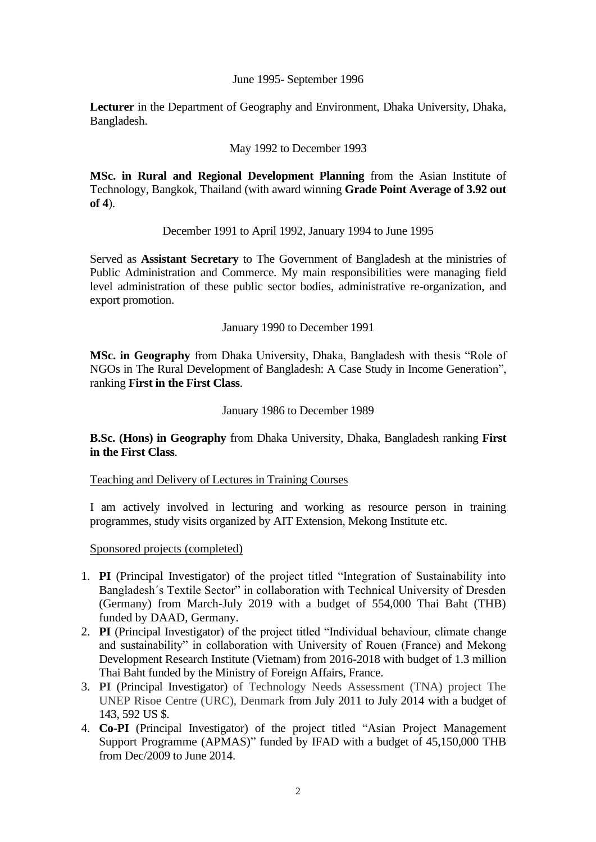June 1995- September 1996

**Lecturer** in the Department of Geography and Environment, Dhaka University, Dhaka, Bangladesh.

## May 1992 to December 1993

**MSc. in Rural and Regional Development Planning** from the Asian Institute of Technology, Bangkok, Thailand (with award winning **Grade Point Average of 3.92 out of 4**).

December 1991 to April 1992, January 1994 to June 1995

Served as **Assistant Secretary** to The Government of Bangladesh at the ministries of Public Administration and Commerce. My main responsibilities were managing field level administration of these public sector bodies, administrative re-organization, and export promotion.

January 1990 to December 1991

**MSc. in Geography** from Dhaka University, Dhaka, Bangladesh with thesis "Role of NGOs in The Rural Development of Bangladesh: A Case Study in Income Generation", ranking **First in the First Class**.

#### January 1986 to December 1989

**B.Sc. (Hons) in Geography** from Dhaka University, Dhaka, Bangladesh ranking **First in the First Class**.

Teaching and Delivery of Lectures in Training Courses

I am actively involved in lecturing and working as resource person in training programmes, study visits organized by AIT Extension, Mekong Institute etc.

Sponsored projects (completed)

- 1. **PI** (Principal Investigator) of the project titled "Integration of Sustainability into Bangladesh´s Textile Sector" in collaboration with Technical University of Dresden (Germany) from March-July 2019 with a budget of 554,000 Thai Baht (THB) funded by DAAD, Germany.
- 2. **PI** (Principal Investigator) of the project titled "Individual behaviour, climate change and sustainability" in collaboration with University of Rouen (France) and Mekong Development Research Institute (Vietnam) from 2016-2018 with budget of 1.3 million Thai Baht funded by the Ministry of Foreign Affairs, France.
- 3. **PI** (Principal Investigator) of Technology Needs Assessment (TNA) project The UNEP Risoe Centre (URC), Denmark from July 2011 to July 2014 with a budget of 143, 592 US \$.
- 4. **Co-PI** (Principal Investigator) of the project titled "Asian Project Management Support Programme (APMAS)" funded by IFAD with a budget of 45,150,000 THB from Dec/2009 to June 2014.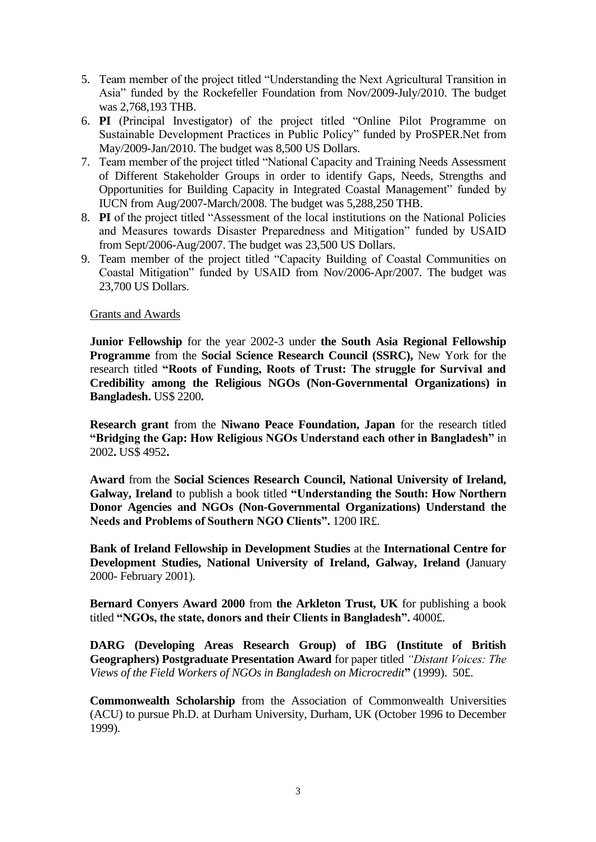- 5. Team member of the project titled "Understanding the Next Agricultural Transition in Asia" funded by the Rockefeller Foundation from Nov/2009-July/2010. The budget was 2,768,193 THB.
- 6. **PI** (Principal Investigator) of the project titled "Online Pilot Programme on Sustainable Development Practices in Public Policy" funded by ProSPER.Net from May/2009-Jan/2010. The budget was 8,500 US Dollars.
- 7. Team member of the project titled "National Capacity and Training Needs Assessment of Different Stakeholder Groups in order to identify Gaps, Needs, Strengths and Opportunities for Building Capacity in Integrated Coastal Management" funded by IUCN from Aug/2007-March/2008. The budget was 5,288,250 THB.
- 8. **PI** of the project titled "Assessment of the local institutions on the National Policies and Measures towards Disaster Preparedness and Mitigation" funded by USAID from Sept/2006-Aug/2007. The budget was 23,500 US Dollars.
- 9. Team member of the project titled "Capacity Building of Coastal Communities on Coastal Mitigation" funded by USAID from Nov/2006-Apr/2007. The budget was 23,700 US Dollars.

#### Grants and Awards

**Junior Fellowship** for the year 2002-3 under **the South Asia Regional Fellowship Programme** from the **Social Science Research Council (SSRC),** New York for the research titled **"Roots of Funding, Roots of Trust: The struggle for Survival and Credibility among the Religious NGOs (Non-Governmental Organizations) in Bangladesh.** US\$ 2200**.** 

**Research grant** from the **Niwano Peace Foundation, Japan** for the research titled **"Bridging the Gap: How Religious NGOs Understand each other in Bangladesh"** in 2002**.** US\$ 4952**.** 

**Award** from the **Social Sciences Research Council, National University of Ireland, Galway, Ireland** to publish a book titled **"Understanding the South: How Northern Donor Agencies and NGOs (Non-Governmental Organizations) Understand the Needs and Problems of Southern NGO Clients".** 1200 IR£.

**Bank of Ireland Fellowship in Development Studies** at the **International Centre for Development Studies, National University of Ireland, Galway, Ireland (**January 2000- February 2001).

**Bernard Conyers Award 2000** from **the Arkleton Trust, UK** for publishing a book titled **"NGOs, the state, donors and their Clients in Bangladesh".** 4000£.

**DARG (Developing Areas Research Group) of IBG (Institute of British Geographers) Postgraduate Presentation Award** for paper titled *"Distant Voices: The Views of the Field Workers of NGOs in Bangladesh on Microcredit***"** (1999). 50£.

**Commonwealth Scholarship** from the Association of Commonwealth Universities (ACU) to pursue Ph.D. at Durham University, Durham, UK (October 1996 to December 1999).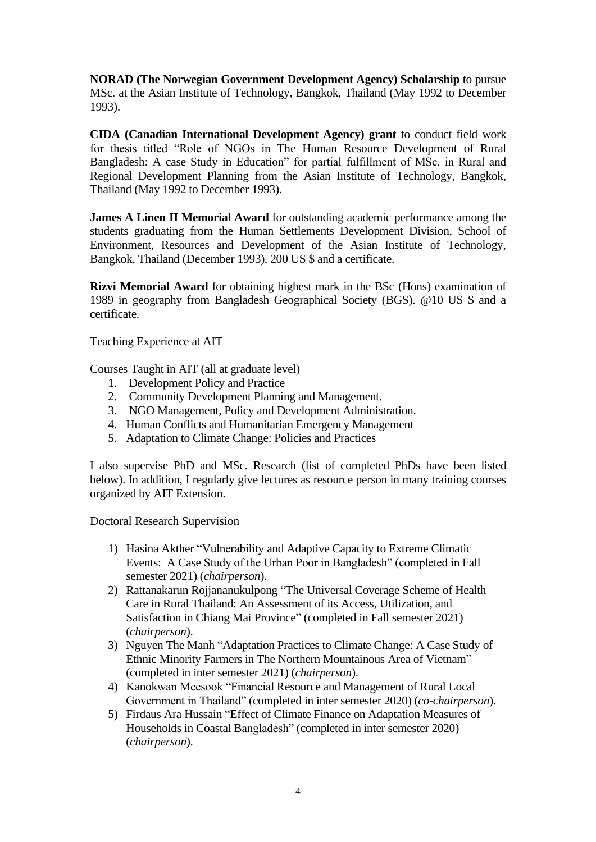**NORAD (The Norwegian Government Development Agency) Scholarship** to pursue MSc. at the Asian Institute of Technology, Bangkok, Thailand (May 1992 to December 1993).

**CIDA (Canadian International Development Agency) grant** to conduct field work for thesis titled "Role of NGOs in The Human Resource Development of Rural Bangladesh: A case Study in Education" for partial fulfillment of MSc. in Rural and Regional Development Planning from the Asian Institute of Technology, Bangkok, Thailand (May 1992 to December 1993).

**James A Linen II Memorial Award** for outstanding academic performance among the students graduating from the Human Settlements Development Division, School of Environment, Resources and Development of the Asian Institute of Technology, Bangkok, Thailand (December 1993). 200 US \$ and a certificate.

**Rizvi Memorial Award** for obtaining highest mark in the BSc (Hons) examination of 1989 in geography from Bangladesh Geographical Society (BGS). @10 US \$ and a certificate.

Teaching Experience at AIT

Courses Taught in AIT (all at graduate level)

- 1. Development Policy and Practice
- 2. Community Development Planning and Management.
- 3. NGO Management, Policy and Development Administration.
- 4. Human Conflicts and Humanitarian Emergency Management
- 5. Adaptation to Climate Change: Policies and Practices

I also supervise PhD and MSc. Research (list of completed PhDs have been listed below). In addition, I regularly give lectures as resource person in many training courses organized by AIT Extension.

Doctoral Research Supervision

- 1) Hasina Akther "Vulnerability and Adaptive Capacity to Extreme Climatic Events: A Case Study of the Urban Poor in Bangladesh" (completed in Fall semester 2021) (*chairperson*).
- 2) Rattanakarun Rojjananukulpong "The Universal Coverage Scheme of Health Care in Rural Thailand: An Assessment of its Access, Utilization, and Satisfaction in Chiang Mai Province" (completed in Fall semester 2021) (*chairperson*).
- 3) Nguyen The Manh "Adaptation Practices to Climate Change: A Case Study of Ethnic Minority Farmers in The Northern Mountainous Area of Vietnam" (completed in inter semester 2021) (*chairperson*).
- 4) Kanokwan Meesook "Financial Resource and Management of Rural Local Government in Thailand" (completed in inter semester 2020) (*co-chairperson*).
- 5) Firdaus Ara Hussain "Effect of Climate Finance on Adaptation Measures of Households in Coastal Bangladesh" (completed in inter semester 2020) (*chairperson*).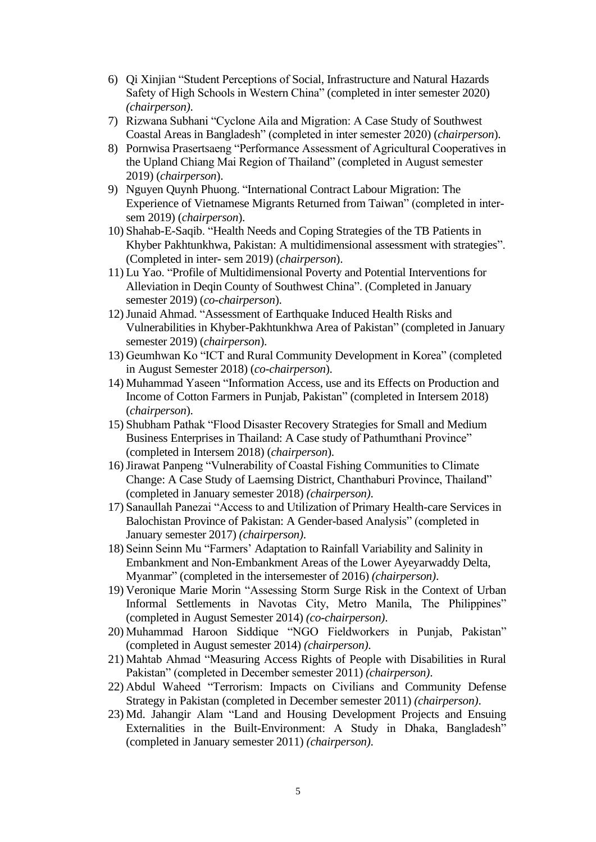- 6) Qi Xinjian "Student Perceptions of Social, Infrastructure and Natural Hazards Safety of High Schools in Western China" (completed in inter semester 2020) *(chairperson)*.
- 7) Rizwana Subhani "Cyclone Aila and Migration: A Case Study of Southwest Coastal Areas in Bangladesh" (completed in inter semester 2020) (*chairperson*).
- 8) Pornwisa Prasertsaeng "Performance Assessment of Agricultural Cooperatives in the Upland Chiang Mai Region of Thailand" (completed in August semester 2019) (*chairperson*).
- 9) Nguyen Quynh Phuong. "International Contract Labour Migration: The Experience of Vietnamese Migrants Returned from Taiwan" (completed in intersem 2019) (*chairperson*).
- 10) Shahab-E-Saqib. "Health Needs and Coping Strategies of the TB Patients in Khyber Pakhtunkhwa, Pakistan: A multidimensional assessment with strategies". (Completed in inter- sem 2019) (*chairperson*).
- 11) Lu Yao. "Profile of Multidimensional Poverty and Potential Interventions for Alleviation in Deqin County of Southwest China". (Completed in January semester 2019) (*co-chairperson*).
- 12)Junaid Ahmad. "Assessment of Earthquake Induced Health Risks and Vulnerabilities in Khyber-Pakhtunkhwa Area of Pakistan" (completed in January semester 2019) (*chairperson*).
- 13) Geumhwan Ko "ICT and Rural Community Development in Korea" (completed in August Semester 2018) (*co-chairperson*).
- 14) Muhammad Yaseen "Information Access, use and its Effects on Production and Income of Cotton Farmers in Punjab, Pakistan" (completed in Intersem 2018) (*chairperson*).
- 15) Shubham Pathak "Flood Disaster Recovery Strategies for Small and Medium Business Enterprises in Thailand: A Case study of Pathumthani Province" (completed in Intersem 2018) (*chairperson*).
- 16)Jirawat Panpeng "Vulnerability of Coastal Fishing Communities to Climate Change: A Case Study of Laemsing District, Chanthaburi Province, Thailand" (completed in January semester 2018) *(chairperson)*.
- 17) Sanaullah Panezai "Access to and Utilization of Primary Health-care Services in Balochistan Province of Pakistan: A Gender-based Analysis" (completed in January semester 2017) *(chairperson)*.
- 18) Seinn Seinn Mu "Farmers' Adaptation to Rainfall Variability and Salinity in Embankment and Non-Embankment Areas of the Lower Ayeyarwaddy Delta, Myanmar" (completed in the intersemester of 2016) *(chairperson)*.
- 19) Veronique Marie Morin "Assessing Storm Surge Risk in the Context of Urban Informal Settlements in Navotas City, Metro Manila, The Philippines" (completed in August Semester 2014) *(co-chairperson)*.
- 20) Muhammad Haroon Siddique "NGO Fieldworkers in Punjab, Pakistan" (completed in August semester 2014) *(chairperson)*.
- 21) Mahtab Ahmad "Measuring Access Rights of People with Disabilities in Rural Pakistan" (completed in December semester 2011) *(chairperson)*.
- 22) Abdul Waheed "Terrorism: Impacts on Civilians and Community Defense Strategy in Pakistan (completed in December semester 2011) *(chairperson)*.
- 23) Md. Jahangir Alam "Land and Housing Development Projects and Ensuing Externalities in the Built-Environment: A Study in Dhaka, Bangladesh" (completed in January semester 2011) *(chairperson)*.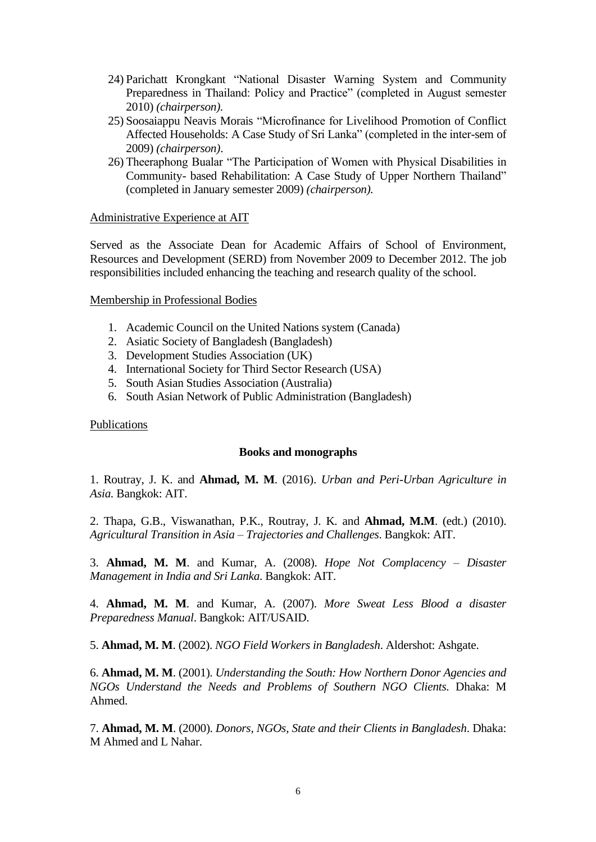- 24) Parichatt Krongkant "National Disaster Warning System and Community Preparedness in Thailand: Policy and Practice" (completed in August semester 2010) *(chairperson).*
- 25) Soosaiappu Neavis Morais "Microfinance for Livelihood Promotion of Conflict Affected Households: A Case Study of Sri Lanka" (completed in the inter-sem of 2009) *(chairperson)*.
- 26) Theeraphong Bualar "The Participation of Women with Physical Disabilities in Community- based Rehabilitation: A Case Study of Upper Northern Thailand" (completed in January semester 2009) *(chairperson).*

#### Administrative Experience at AIT

Served as the Associate Dean for Academic Affairs of School of Environment, Resources and Development (SERD) from November 2009 to December 2012. The job responsibilities included enhancing the teaching and research quality of the school.

#### Membership in Professional Bodies

- 1. Academic Council on the United Nations system (Canada)
- 2. Asiatic Society of Bangladesh (Bangladesh)
- 3. Development Studies Association (UK)
- 4. International Society for Third Sector Research (USA)
- 5. South Asian Studies Association (Australia)
- 6. South Asian Network of Public Administration (Bangladesh)

#### Publications

#### **Books and monographs**

1. Routray, J. K. and **Ahmad, M. M**. (2016). *Urban and Peri-Urban Agriculture in Asia.* Bangkok: AIT.

2. Thapa, G.B., Viswanathan, P.K., Routray, J. K. and **Ahmad, M.M**. (edt.) (2010). *Agricultural Transition in Asia – Trajectories and Challenges*. Bangkok: AIT.

3. **Ahmad, M. M**. and Kumar, A. (2008). *Hope Not Complacency* – *Disaster Management in India and Sri Lanka*. Bangkok: AIT.

4. **Ahmad, M. M**. and Kumar, A. (2007). *More Sweat Less Blood a disaster Preparedness Manual*. Bangkok: AIT/USAID.

5. **Ahmad, M. M**. (2002). *NGO Field Workers in Bangladesh*. Aldershot: Ashgate.

6. **Ahmad, M. M**. (2001). *Understanding the South: How Northern Donor Agencies and NGOs Understand the Needs and Problems of Southern NGO Clients.* Dhaka: M Ahmed.

7. **Ahmad, M. M**. (2000). *Donors, NGOs, State and their Clients in Bangladesh*. Dhaka: M Ahmed and L Nahar.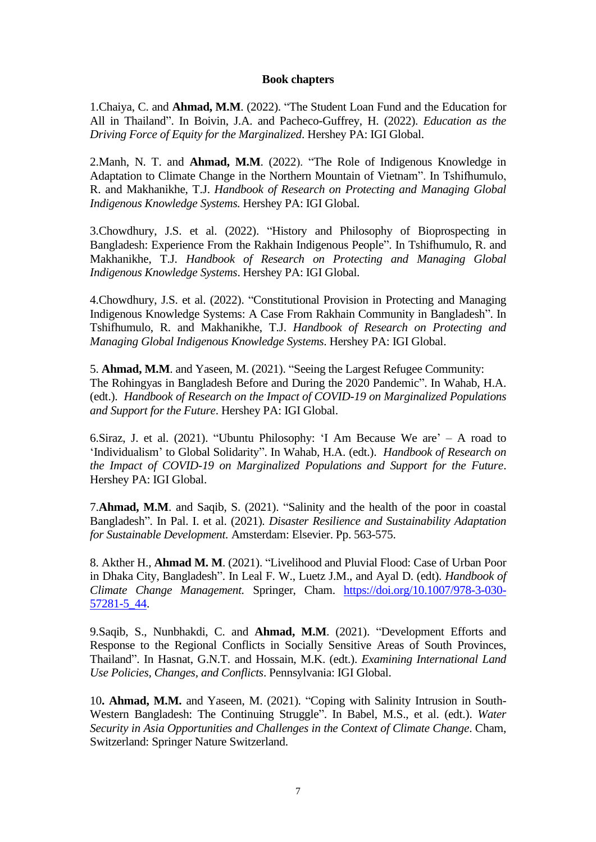#### **Book chapters**

1.Chaiya, C. and **Ahmad, M.M**. (2022). "The Student Loan Fund and the Education for All in Thailand". In Boivin, J.A. and Pacheco-Guffrey, H. (2022). *Education as the Driving Force of Equity for the Marginalized*. Hershey PA: IGI Global.

2.Manh, N. T. and **Ahmad, M.M**. (2022). "The Role of Indigenous Knowledge in Adaptation to Climate Change in the Northern Mountain of Vietnam". In Tshifhumulo, R. and Makhanikhe, T.J. *Handbook of Research on Protecting and Managing Global Indigenous Knowledge Systems.* Hershey PA: IGI Global.

3.Chowdhury, J.S. et al. (2022). "History and Philosophy of Bioprospecting in Bangladesh: Experience From the Rakhain Indigenous People". In Tshifhumulo, R. and Makhanikhe, T.J. *Handbook of Research on Protecting and Managing Global Indigenous Knowledge Systems*. Hershey PA: IGI Global.

4.Chowdhury, J.S. et al. (2022). "Constitutional Provision in Protecting and Managing Indigenous Knowledge Systems: A Case From Rakhain Community in Bangladesh". In Tshifhumulo, R. and Makhanikhe, T.J. *Handbook of Research on Protecting and Managing Global Indigenous Knowledge Systems*. Hershey PA: IGI Global.

5. **Ahmad, M.M**. and Yaseen, M. (2021). "Seeing the Largest Refugee Community: The Rohingyas in Bangladesh Before and During the 2020 Pandemic". In Wahab, H.A. (edt.). *Handbook of Research on the Impact of COVID-19 on Marginalized Populations and Support for the Future*. Hershey PA: IGI Global.

6.Siraz, J. et al. (2021). "Ubuntu Philosophy: 'I Am Because We are' – A road to 'Individualism' to Global Solidarity". In Wahab, H.A. (edt.). *Handbook of Research on the Impact of COVID-19 on Marginalized Populations and Support for the Future*. Hershey PA: IGI Global.

7.**Ahmad, M.M**. and Saqib, S. (2021). "Salinity and the health of the poor in coastal Bangladesh". In Pal. I. et al. (2021). *Disaster Resilience and Sustainability Adaptation for Sustainable Development.* Amsterdam: Elsevier. Pp. 563-575.

8. Akther H., **Ahmad M. M**. (2021). "Livelihood and Pluvial Flood: Case of Urban Poor in Dhaka City, Bangladesh". In Leal F. W., Luetz J.M., and Ayal D. (edt). *Handbook of Climate Change Management.* Springer, Cham. [https://doi.org/10.1007/978-3-030-](https://doi.org/10.1007/978-3-030-57281-5_44) [57281-5\\_44.](https://doi.org/10.1007/978-3-030-57281-5_44)

9.Saqib, S., Nunbhakdi, C. and **Ahmad, M.M**. (2021). "Development Efforts and Response to the Regional Conflicts in Socially Sensitive Areas of South Provinces, Thailand". In Hasnat, G.N.T. and Hossain, M.K. (edt.). *Examining International Land Use Policies, Changes, and Conflicts*. Pennsylvania: IGI Global.

10**. Ahmad, M.M.** and Yaseen, M. (2021). "Coping with Salinity Intrusion in South-Western Bangladesh: The Continuing Struggle". In Babel, M.S., et al. (edt.). *Water Security in Asia Opportunities and Challenges in the Context of Climate Change*. Cham, Switzerland: Springer Nature Switzerland.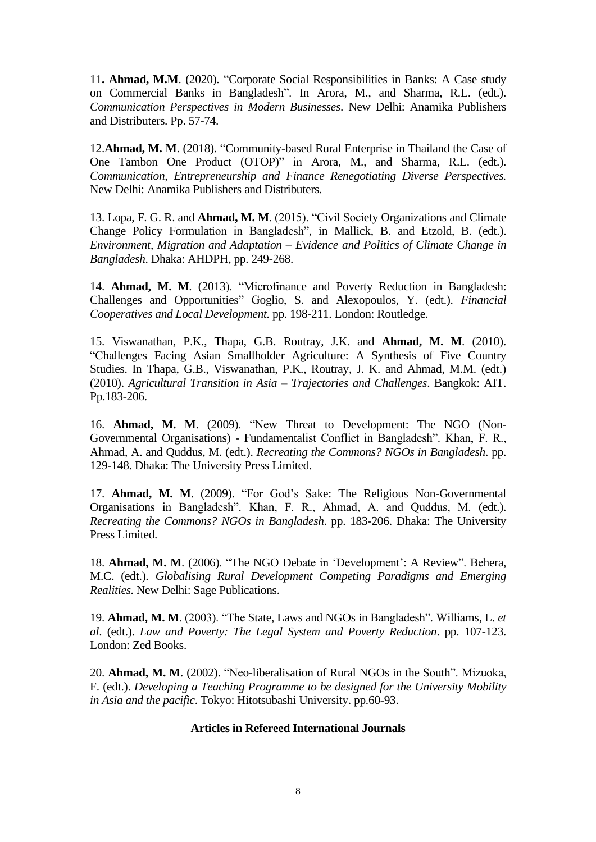11**. Ahmad, M.M**. (2020). "Corporate Social Responsibilities in Banks: A Case study on Commercial Banks in Bangladesh". In Arora, M., and Sharma, R.L. (edt.). *Communication Perspectives in Modern Businesses*. New Delhi: Anamika Publishers and Distributers. Pp. 57-74.

12.**Ahmad, M. M**. (2018). "Community-based Rural Enterprise in Thailand the Case of One Tambon One Product (OTOP)" in Arora, M., and Sharma, R.L. (edt.). *Communication, Entrepreneurship and Finance Renegotiating Diverse Perspectives.* New Delhi: Anamika Publishers and Distributers.

13. Lopa, F. G. R. and **Ahmad, M. M**. (2015). "Civil Society Organizations and Climate Change Policy Formulation in Bangladesh", in Mallick, B. and Etzold, B. (edt.). *Environment, Migration and Adaptation – Evidence and Politics of Climate Change in Bangladesh*. Dhaka: AHDPH, pp. 249-268.

14. **Ahmad, M. M**. (2013). "Microfinance and Poverty Reduction in Bangladesh: Challenges and Opportunities" Goglio, S. and Alexopoulos, Y. (edt.). *Financial Cooperatives and Local Development.* pp. 198-211. London: Routledge.

15. Viswanathan, P.K., Thapa, G.B. Routray, J.K. and **Ahmad, M. M**. (2010). "Challenges Facing Asian Smallholder Agriculture: A Synthesis of Five Country Studies. In Thapa, G.B., Viswanathan, P.K., Routray, J. K. and Ahmad, M.M. (edt.) (2010). *Agricultural Transition in Asia – Trajectories and Challenges*. Bangkok: AIT. Pp.183-206.

16. **Ahmad, M. M**. (2009). "New Threat to Development: The NGO (Non-Governmental Organisations) - Fundamentalist Conflict in Bangladesh". Khan, F. R., Ahmad, A. and Quddus, M. (edt.). *Recreating the Commons? NGOs in Bangladesh*. pp. 129-148. Dhaka: The University Press Limited.

17. **Ahmad, M. M**. (2009). "For God's Sake: The Religious Non-Governmental Organisations in Bangladesh". Khan, F. R., Ahmad, A. and Quddus, M. (edt.). *Recreating the Commons? NGOs in Bangladesh*. pp. 183-206. Dhaka: The University Press Limited.

18. **Ahmad, M. M**. (2006). "The NGO Debate in 'Development': A Review". Behera, M.C. (edt.). *Globalising Rural Development Competing Paradigms and Emerging Realities*. New Delhi: Sage Publications.

19. **Ahmad, M. M**. (2003). "The State, Laws and NGOs in Bangladesh". Williams, L. *et al*. (edt.). *Law and Poverty: The Legal System and Poverty Reduction*. pp. 107-123. London: Zed Books.

20. **Ahmad, M. M**. (2002). "Neo-liberalisation of Rural NGOs in the South". Mizuoka, F. (edt.). *Developing a Teaching Programme to be designed for the University Mobility in Asia and the pacific*. Tokyo: Hitotsubashi University. pp.60-93.

#### **Articles in Refereed International Journals**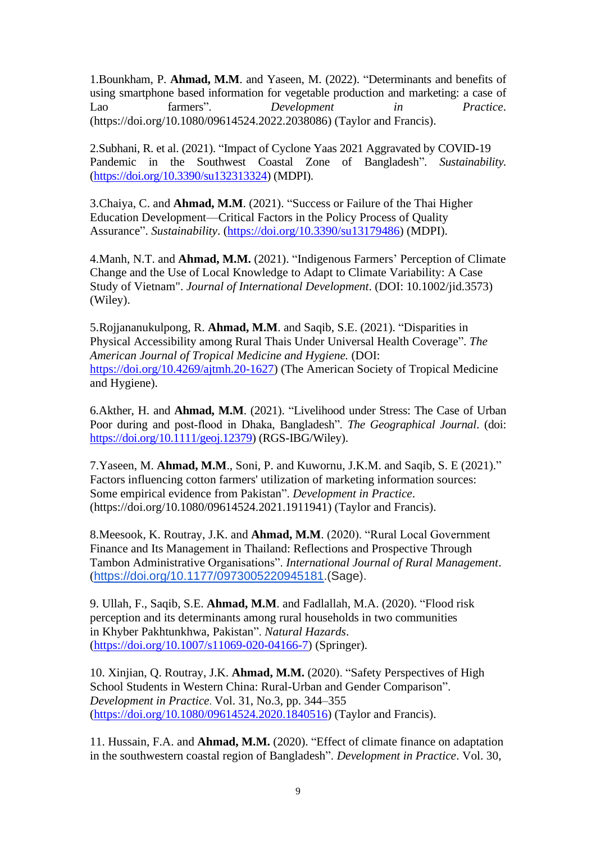1.Bounkham, P. **Ahmad, M.M**. and Yaseen, M. (2022). "Determinants and benefits of using smartphone based information for vegetable production and marketing: a case of Lao farmers". *Development in Practice*. (https://doi.org/10.1080/09614524.2022.2038086) (Taylor and Francis).

2.Subhani, R. et al. (2021). "Impact of Cyclone Yaas 2021 Aggravated by COVID-19 Pandemic in the Southwest Coastal Zone of Bangladesh". *Sustainability.*  [\(https://doi.org/10.3390/su132313324\)](https://doi.org/10.3390/su132313324) (MDPI).

3.Chaiya, C. and **Ahmad, M.M**. (2021). "Success or Failure of the Thai Higher Education Development—Critical Factors in the Policy Process of Quality Assurance". *Sustainability*. [\(https://doi.org/10.3390/su13179486\)](https://doi.org/10.3390/su13179486) (MDPI).

4.Manh, N.T. and **Ahmad, M.M.** (2021). "Indigenous Farmers' Perception of Climate Change and the Use of Local Knowledge to Adapt to Climate Variability: A Case Study of Vietnam". *Journal of International Development*. (DOI: 10.1002/jid.3573) (Wiley).

5.Rojjananukulpong, R. **Ahmad, M.M**. and Saqib, S.E. (2021). "Disparities in Physical Accessibility among Rural Thais Under Universal Health Coverage". *The American Journal of Tropical Medicine and Hygiene.* (DOI: [https://doi.org/10.4269/ajtmh.20-1627\)](https://doi.org/10.4269/ajtmh.20-1627) (The American Society of Tropical Medicine and Hygiene).

6.Akther, H. and **Ahmad, M.M**. (2021). "Livelihood under Stress: The Case of Urban Poor during and post‐flood in Dhaka, Bangladesh". *The Geographical Journal*. (doi: [https://doi.org/10.1111/geoj.12379\)](https://doi.org/10.1111/geoj.12379) (RGS-IBG/Wiley).

7.Yaseen, M. **Ahmad, M.M**., Soni, P. and Kuwornu, J.K.M. and Saqib, S. E (2021)." Factors influencing cotton farmers' utilization of marketing information sources: Some empirical evidence from Pakistan". *Development in Practice*. (https://doi.org/10.1080/09614524.2021.1911941) (Taylor and Francis).

8.Meesook, K. Routray, J.K. and **Ahmad, M.M**. (2020). "Rural Local Government Finance and Its Management in Thailand: Reflections and Prospective Through Tambon Administrative Organisations". *International Journal of Rural Management*. ([https://doi.org/10.1177/0973005220945181.](https://doi.org/10.1177/0973005220945181)(Sage).

9. Ullah, F., Saqib, S.E. **Ahmad, M.M**. and Fadlallah, M.A. (2020). "Flood risk perception and its determinants among rural households in two communities in Khyber Pakhtunkhwa, Pakistan". *Natural Hazards*. [\(https://doi.org/10.1007/s11069-020-04166-7\)](https://doi.org/10.1007/s11069-020-04166-7) (Springer).

10. Xinjian, Q. Routray, J.K. **Ahmad, M.M.** (2020). "Safety Perspectives of High School Students in Western China: Rural-Urban and Gender Comparison". *Development in Practice*. Vol. 31, No.3, pp. 344–355 [\(https://doi.org/10.1080/09614524.2020.1840516\)](https://doi.org/10.1080/09614524.2020.1840516) (Taylor and Francis).

11. Hussain, F.A. and **Ahmad, M.M.** (2020). "Effect of climate finance on adaptation in the southwestern coastal region of Bangladesh". *Development in Practice*. Vol. 30,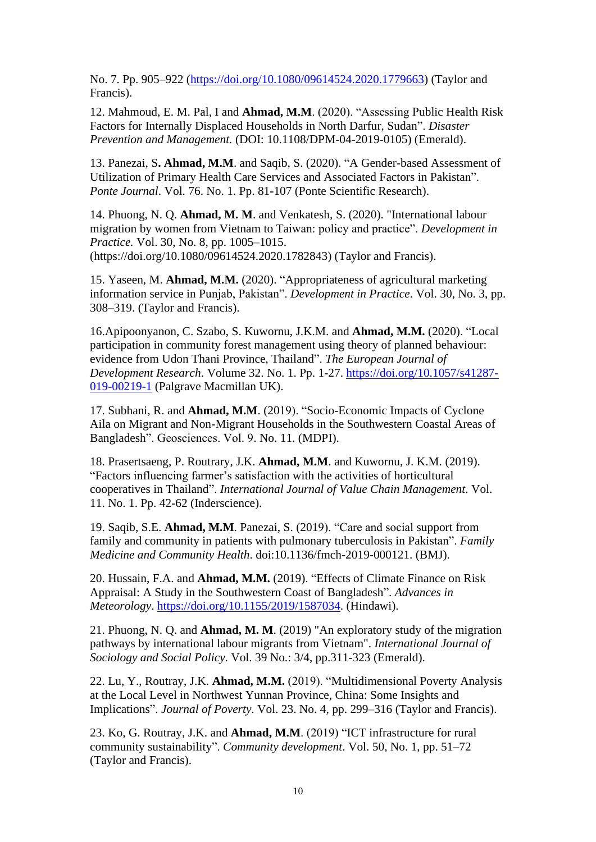No. 7. Pp. 905–922 [\(https://doi.org/10.1080/09614524.2020.1779663\)](https://doi.org/10.1080/09614524.2020.1779663) (Taylor and Francis).

12. Mahmoud, E. M. Pal, I and **Ahmad, M.M**. (2020). "Assessing Public Health Risk Factors for Internally Displaced Households in North Darfur, Sudan". *Disaster Prevention and Management.* (DOI: 10.1108/DPM-04-2019-0105) (Emerald).

13. Panezai, S**. Ahmad, M.M**. and Saqib, S. (2020). "A Gender-based Assessment of Utilization of Primary Health Care Services and Associated Factors in Pakistan". *Ponte Journal*. Vol. 76. No. 1. Pp. 81-107 (Ponte Scientific Research).

14. Phuong, N. Q. **Ahmad, M. M**. and Venkatesh, S. (2020). "International labour migration by women from Vietnam to Taiwan: policy and practice". *Development in Practice.* Vol. 30, No. 8, pp. 1005–1015. (https://doi.org/10.1080/09614524.2020.1782843) (Taylor and Francis).

15. Yaseen, M. **Ahmad, M.M.** (2020). "Appropriateness of agricultural marketing information service in Punjab, Pakistan". *Development in Practice*. Vol. 30, No. 3, pp. 308–319. (Taylor and Francis).

16.Apipoonyanon, C. Szabo, S. Kuwornu, J.K.M. and **Ahmad, M.M.** (2020). "Local participation in community forest management using theory of planned behaviour: evidence from Udon Thani Province, Thailand". *The European Journal of Development Research*. Volume 32. No. 1. Pp. 1-27. [https://doi.org/10.1057/s41287-](https://doi.org/10.1057/s41287-019-00219-1) [019-00219-1](https://doi.org/10.1057/s41287-019-00219-1) (Palgrave Macmillan UK).

17. Subhani, R. and **Ahmad, M.M**. (2019). "Socio-Economic Impacts of Cyclone Aila on Migrant and Non-Migrant Households in the Southwestern Coastal Areas of Bangladesh". Geosciences. Vol. 9. No. 11. (MDPI).

18. Prasertsaeng, P. Routrary, J.K. **Ahmad, M.M**. and Kuwornu, J. K.M. (2019). "Factors influencing farmer's satisfaction with the activities of horticultural cooperatives in Thailand". *International Journal of Value Chain Management*. Vol. 11. No. 1. Pp. 42-62 (Inderscience).

19. Saqib, S.E. **Ahmad, M.M**. Panezai, S. (2019). "Care and social support from family and community in patients with pulmonary tuberculosis in Pakistan". *Family Medicine and Community Health*. doi:10.1136/fmch-2019-000121. (BMJ).

20. Hussain, F.A. and **Ahmad, M.M.** (2019). "Effects of Climate Finance on Risk Appraisal: A Study in the Southwestern Coast of Bangladesh". *Advances in Meteorology*. [https://doi.org/10.1155/2019/1587034.](https://doi.org/10.1155/2019/1587034) (Hindawi).

21. Phuong, N. Q. and **Ahmad, M. M**. (2019) "An exploratory study of the migration pathways by international labour migrants from Vietnam". *International Journal of Sociology and Social Policy*. Vol. 39 No.: 3/4, pp.311-323 (Emerald).

22. Lu, Y., Routray, J.K. **Ahmad, M.M.** (2019). "Multidimensional Poverty Analysis at the Local Level in Northwest Yunnan Province, China: Some Insights and Implications". *Journal of Poverty*. Vol. 23. No. 4, pp. 299–316 (Taylor and Francis).

23. Ko, G. Routray, J.K. and **Ahmad, M.M**. (2019) "ICT infrastructure for rural community sustainability". *Community development*. Vol. 50, No. 1, pp. 51–72 (Taylor and Francis).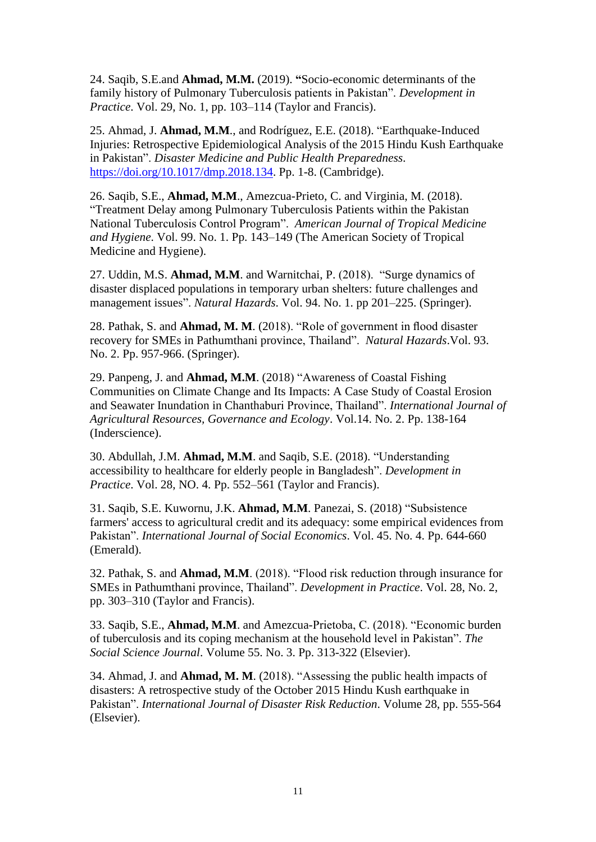24. Saqib, S.E.and **Ahmad, M.M.** (2019). **"**Socio-economic determinants of the family history of Pulmonary Tuberculosis patients in Pakistan". *Development in Practice*. Vol. 29, No. 1, pp. 103–114 (Taylor and Francis).

25. Ahmad, J. **Ahmad, M.M**., and Rodríguez, E.E. (2018). "Earthquake-Induced Injuries: Retrospective Epidemiological Analysis of the 2015 Hindu Kush Earthquake in Pakistan". *Disaster Medicine and Public Health Preparedness*. [https://doi.org/10.1017/dmp.2018.134.](https://doi.org/10.1017/dmp.2018.134) Pp. 1-8. (Cambridge).

26. Saqib, S.E., **Ahmad, M.M**., Amezcua-Prieto, C. and Virginia, M. (2018). "Treatment Delay among Pulmonary Tuberculosis Patients within the Pakistan National Tuberculosis Control Program". *American Journal of Tropical Medicine and Hygiene*. Vol. 99. No. 1. Pp. 143–149 (The American Society of Tropical Medicine and Hygiene).

27. Uddin, M.S. **Ahmad, M.M**. and Warnitchai, P. (2018). "Surge dynamics of disaster displaced populations in temporary urban shelters: future challenges and management issues". *Natural Hazards*. Vol. 94. No. 1. pp 201–225. (Springer).

28. Pathak, S. and **Ahmad, M. M**. (2018). "Role of government in flood disaster recovery for SMEs in Pathumthani province, Thailand". *Natural Hazards*.Vol. 93. No. 2. Pp. 957-966. (Springer).

29. Panpeng, J. and **Ahmad, M.M**. (2018) "Awareness of Coastal Fishing Communities on Climate Change and Its Impacts: A Case Study of Coastal Erosion and Seawater Inundation in Chanthaburi Province, Thailand". *International Journal of Agricultural Resources, Governance and Ecology*. Vol.14. No. 2. Pp. 138-164 (Inderscience).

30. Abdullah, J.M. **Ahmad, M.M**. and Saqib, S.E. (2018). "Understanding accessibility to healthcare for elderly people in Bangladesh". *Development in Practice*. Vol. 28, NO. 4. Pp. 552–561 (Taylor and Francis).

31. Saqib, S.E. Kuwornu, J.K. **Ahmad, M.M**. Panezai, S. (2018) "Subsistence farmers' access to agricultural credit and its adequacy: some empirical evidences from Pakistan". *International Journal of Social Economics*. Vol. 45. No. 4. Pp. 644-660 (Emerald).

32. Pathak, S. and **Ahmad, M.M**. (2018). "Flood risk reduction through insurance for SMEs in Pathumthani province, Thailand". *Development in Practice*. Vol. 28, No. 2, pp. 303–310 (Taylor and Francis).

33. Saqib, S.E., **Ahmad, M.M**. and Amezcua-Prietoba, C. (2018). "Economic burden of tuberculosis and its coping mechanism at the household level in Pakistan". *The Social Science Journal*. Volume 55. No. 3. Pp. 313-322 (Elsevier).

34. Ahmad, J. and **Ahmad, M. M**. (2018). "Assessing the public health impacts of disasters: A retrospective study of the October 2015 Hindu Kush earthquake in Pakistan". *International Journal of Disaster Risk Reduction*. Volume 28, pp. 555-564 (Elsevier).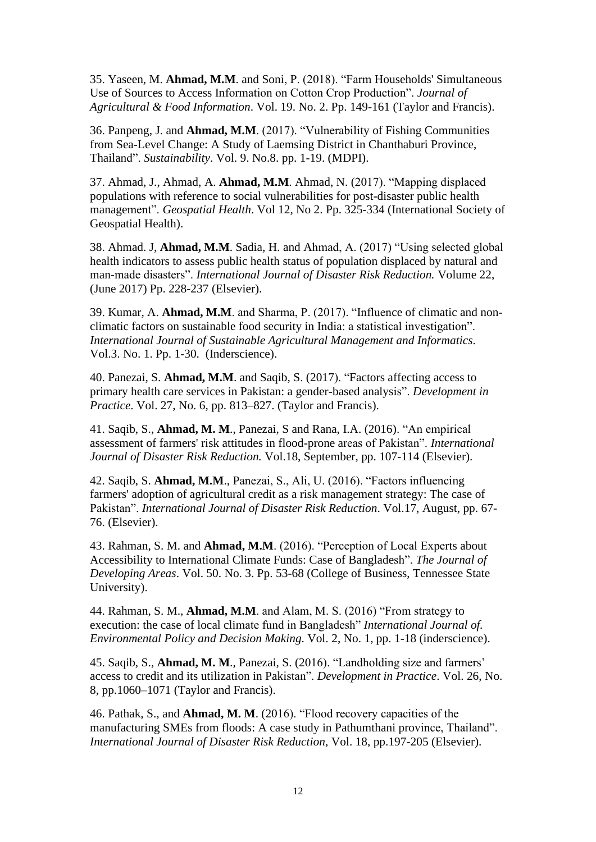35. Yaseen, M. **Ahmad, M.M**. and Soni, P. (2018). "Farm Households' Simultaneous Use of Sources to Access Information on Cotton Crop Production". *Journal of Agricultural & Food Information*. Vol. 19. No. 2. Pp. 149-161 (Taylor and Francis).

36. Panpeng, J. and **Ahmad, M.M**. (2017). "Vulnerability of Fishing Communities from Sea-Level Change: A Study of Laemsing District in Chanthaburi Province, Thailand". *Sustainability*. Vol. 9. No.8. pp. 1-19. (MDPI).

37. Ahmad, J., Ahmad, A. **Ahmad, M.M**. Ahmad, N. (2017). "Mapping displaced populations with reference to social vulnerabilities for post-disaster public health management". *Geospatial Health*. Vol 12, No 2. Pp. 325-334 (International Society of Geospatial Health).

38. Ahmad. J, **Ahmad, M.M**. Sadia, H. and Ahmad, A. (2017) "Using selected global health indicators to assess public health status of population displaced by natural and man-made disasters". *International Journal of Disaster Risk Reduction.* Volume 22, (June 2017) Pp. 228-237 (Elsevier).

39. Kumar, A. **Ahmad, M.M**. and Sharma, P. (2017). "Influence of climatic and nonclimatic factors on sustainable food security in India: a statistical investigation". *International Journal of Sustainable Agricultural Management and Informatics*. Vol.3. No. 1. Pp. 1-30. (Inderscience).

40. Panezai, S. **Ahmad, M.M**. and Saqib, S. (2017). "Factors affecting access to primary health care services in Pakistan: a gender-based analysis". *Development in Practice*. Vol. 27, No. 6, pp. 813–827. (Taylor and Francis).

41. Saqib, S., **Ahmad, M. M**., Panezai, S and Rana, I.A. (2016). "An empirical assessment of farmers' risk attitudes in flood-prone areas of Pakistan". *International Journal of Disaster Risk Reduction.* Vol.18, September, pp. 107-114 (Elsevier).

42. Saqib, S. **Ahmad, M.M**., Panezai, S., Ali, U. (2016). "Factors influencing farmers' adoption of agricultural credit as a risk management strategy: The case of Pakistan". *International Journal of Disaster Risk Reduction*. Vol.17, August, pp. 67- 76. (Elsevier).

43. Rahman, S. M. and **Ahmad, M.M**. (2016). "Perception of Local Experts about Accessibility to International Climate Funds: Case of Bangladesh". *The Journal of Developing Areas*. Vol. 50. No. 3. Pp. 53-68 (College of Business, Tennessee State University).

44. Rahman, S. M., **Ahmad, M.M**. and Alam, M. S. (2016) "From strategy to execution: the case of local climate fund in Bangladesh" *International Journal of. Environmental Policy and Decision Making*. Vol. 2, No. 1, pp. 1-18 (inderscience).

45. Saqib, S., **Ahmad, M. M**., Panezai, S. (2016). "Landholding size and farmers' access to credit and its utilization in Pakistan". *Development in Practice*. Vol. 26, No. 8, pp.1060–1071 (Taylor and Francis).

46. Pathak, S., and **Ahmad, M. M**. (2016). "Flood recovery capacities of the manufacturing SMEs from floods: A case study in Pathumthani province, Thailand". *International Journal of Disaster Risk Reduction*, Vol. 18, pp.197-205 (Elsevier).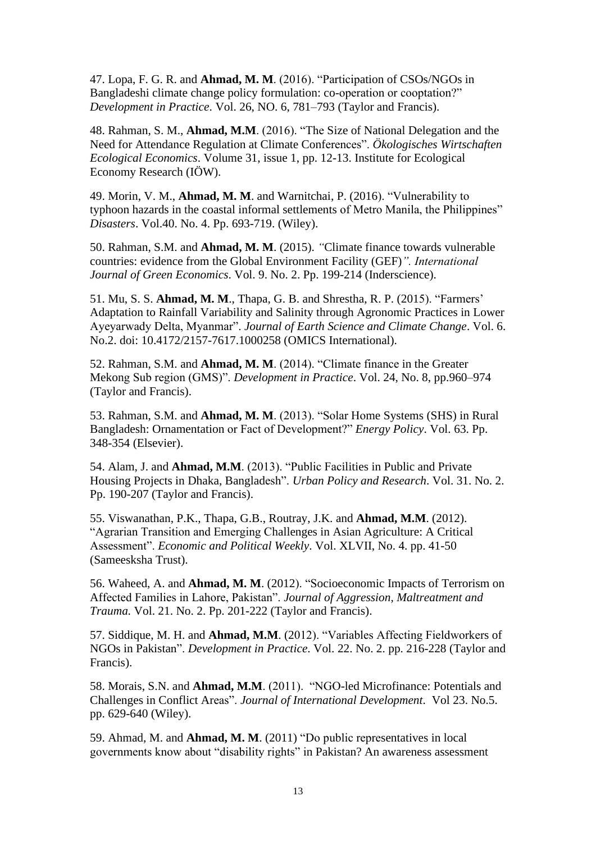47. Lopa, F. G. R. and **Ahmad, M. M**. (2016). "Participation of CSOs/NGOs in Bangladeshi climate change policy formulation: co-operation or cooptation?" *Development in Practice*. Vol. 26, NO. 6, 781–793 (Taylor and Francis).

48. Rahman, S. M., **Ahmad, M.M**. (2016). "The Size of National Delegation and the Need for Attendance Regulation at Climate Conferences". *Ökologisches Wirtschaften Ecological Economics*. Volume 31, issue 1, pp. 12-13. Institute for Ecological Economy Research (IÖW).

49. Morin, V. M., **Ahmad, M. M**. and Warnitchai, P. (2016). "Vulnerability to typhoon hazards in the coastal informal settlements of Metro Manila, the Philippines" *Disasters*. Vol.40. No. 4. Pp. 693-719. (Wiley).

50. Rahman, S.M. and **Ahmad, M. M**. (2015). *"*Climate finance towards vulnerable countries: evidence from the Global Environment Facility (GEF)*". International Journal of Green Economics*. Vol. 9. No. 2. Pp. 199-214 (Inderscience).

51. Mu, S. S. **Ahmad, M. M**., Thapa, G. B. and Shrestha, R. P. (2015). "Farmers' Adaptation to Rainfall Variability and Salinity through Agronomic Practices in Lower Ayeyarwady Delta, Myanmar". *Journal of Earth Science and Climate Change*. Vol. 6. No.2. doi: 10.4172/2157-7617.1000258 (OMICS International).

52. Rahman, S.M. and **Ahmad, M. M**. (2014). "Climate finance in the Greater Mekong Sub region (GMS)". *Development in Practice*. Vol. 24, No. 8, pp.960–974 (Taylor and Francis).

53. Rahman, S.M. and **Ahmad, M. M**. (2013). "Solar Home Systems (SHS) in Rural Bangladesh: Ornamentation or Fact of Development?" *Energy Policy*. Vol. 63. Pp. 348-354 (Elsevier).

54. Alam, J. and **Ahmad, M.M**. (2013). "Public Facilities in Public and Private Housing Projects in Dhaka, Bangladesh". *Urban Policy and Research*. Vol. 31. No. 2. Pp. 190-207 (Taylor and Francis).

55. Viswanathan, P.K., Thapa, G.B., Routray, J.K. and **Ahmad, M.M**. (2012). "Agrarian Transition and Emerging Challenges in Asian Agriculture: A Critical Assessment". *Economic and Political Weekly*. Vol. XLVII, No. 4. pp. 41-50 (Sameesksha Trust).

56. Waheed, A. and **Ahmad, M. M**. (2012). "Socioeconomic Impacts of Terrorism on Affected Families in Lahore, Pakistan". *Journal of Aggression, Maltreatment and Trauma.* Vol. 21. No. 2. Pp. 201-222 (Taylor and Francis).

57. Siddique, M. H. and **Ahmad, M.M**. (2012). "Variables Affecting Fieldworkers of NGOs in Pakistan". *Development in Practice*. Vol. 22. No. 2. pp. 216-228 (Taylor and Francis).

58. Morais, S.N. and **Ahmad, M.M**. (2011). "NGO-led Microfinance: Potentials and Challenges in Conflict Areas". *Journal of International Development*. Vol 23. No.5. pp. 629-640 (Wiley).

59. Ahmad, M. and **Ahmad, M. M**. (2011) "Do public representatives in local governments know about "disability rights" in Pakistan? An awareness assessment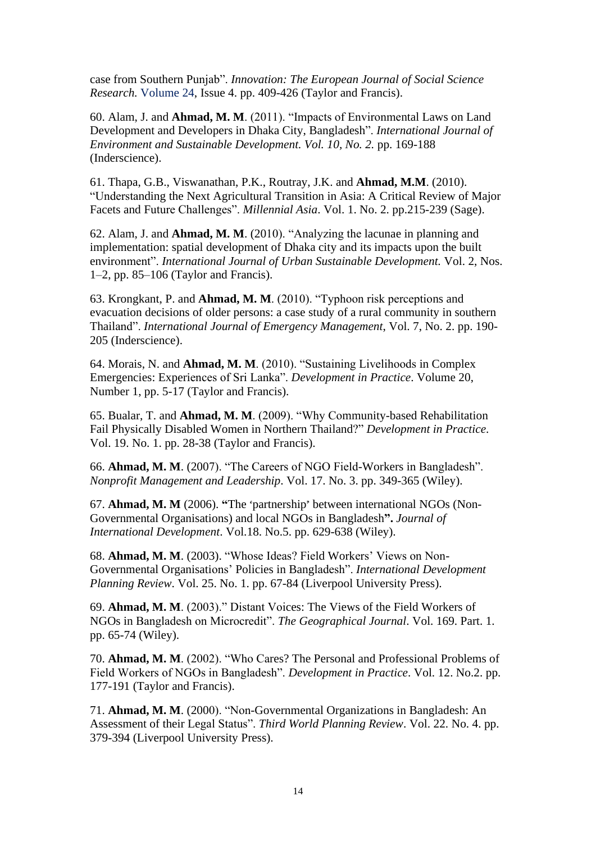case from Southern Punjab". *Innovation: The European Journal of Social Science Research.* [Volume 24,](http://www.tandfonline.com/loi/ciej20?open=24#vol_24) Issue 4. pp. 409-426 (Taylor and Francis).

60. Alam, J. and **Ahmad, M. M**. (2011). "Impacts of Environmental Laws on Land Development and Developers in Dhaka City, Bangladesh". *International Journal of Environment and Sustainable Development. Vol. 10, No. 2.* pp. 169-188 (Inderscience).

61. Thapa, G.B., Viswanathan, P.K., Routray, J.K. and **Ahmad, M.M**. (2010). "Understanding the Next Agricultural Transition in Asia: A Critical Review of Major Facets and Future Challenges". *Millennial Asia*. Vol. 1. No. 2. pp.215-239 (Sage).

62. Alam, J. and **Ahmad, M. M**. (2010). "Analyzing the lacunae in planning and implementation: spatial development of Dhaka city and its impacts upon the built environment". *International Journal of Urban Sustainable Development.* Vol. 2, Nos. 1–2, pp. 85–106 (Taylor and Francis).

63. Krongkant, P. and **Ahmad, M. M**. (2010). "Typhoon risk perceptions and evacuation decisions of older persons: a case study of a rural community in southern Thailand". *International Journal of Emergency Management*, Vol. 7, No. 2. pp. 190- 205 (Inderscience).

64. Morais, N. and **Ahmad, M. M**. (2010). "Sustaining Livelihoods in Complex Emergencies: Experiences of Sri Lanka". *Development in Practice*. Volume 20, Number 1, pp. 5-17 (Taylor and Francis).

65. Bualar, T. and **Ahmad, M. M**. (2009). "Why Community-based Rehabilitation Fail Physically Disabled Women in Northern Thailand?" *Development in Practice*. Vol. 19. No. 1. pp. 28-38 (Taylor and Francis).

66. **Ahmad, M. M**. (2007). "The Careers of NGO Field-Workers in Bangladesh". *Nonprofit Management and Leadership*. Vol. 17. No. 3. pp. 349-365 (Wiley).

67. **Ahmad, M. M** (2006). "The 'partnership' between international NGOs (Non-Governmental Organisations) and local NGOs in Bangladesh**".** *Journal of International Development*. Vol.18. No.5. pp. 629-638 (Wiley).

68. **Ahmad, M. M**. (2003). "Whose Ideas? Field Workers' Views on Non-Governmental Organisations' Policies in Bangladesh". *International Development Planning Review*. Vol. 25. No. 1. pp. 67-84 (Liverpool University Press).

69. **Ahmad, M. M**. (2003)." Distant Voices: The Views of the Field Workers of NGOs in Bangladesh on Microcredit". *The Geographical Journal*. Vol. 169. Part. 1. pp. 65-74 (Wiley).

70. **Ahmad, M. M**. (2002). "Who Cares? The Personal and Professional Problems of Field Workers of NGOs in Bangladesh". *Development in Practice*. Vol. 12. No.2. pp. 177-191 (Taylor and Francis).

71. **Ahmad, M. M**. (2000). "Non-Governmental Organizations in Bangladesh: An Assessment of their Legal Status". *Third World Planning Review*. Vol. 22. No. 4. pp. 379-394 (Liverpool University Press).